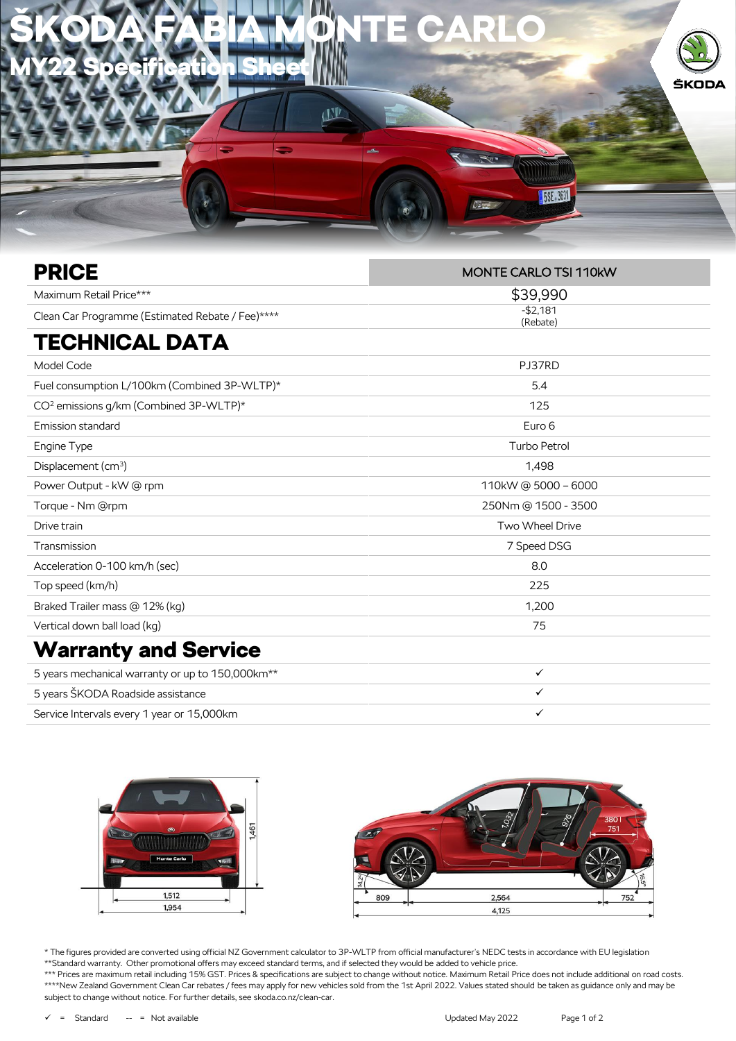

| <b>PRICE</b>                                                 | <b>MONTE CARLO TSI 110kW</b> |
|--------------------------------------------------------------|------------------------------|
| Maximum Retail Price***                                      | \$39,990                     |
| Clean Car Programme (Estimated Rebate / Fee)****             | $-$2,181$<br>(Rebate)        |
| <b>TECHNICAL DATA</b>                                        |                              |
| Model Code                                                   | PJ37RD                       |
| Fuel consumption L/100km (Combined 3P-WLTP)*                 | 5.4                          |
| CO <sup>2</sup> emissions g/km (Combined 3P-WLTP)*           | 125                          |
| Emission standard                                            | Euro 6                       |
| Engine Type                                                  | <b>Turbo Petrol</b>          |
| Displacement (cm <sup>3</sup> )                              | 1,498                        |
| Power Output - kW @ rpm                                      | 110kW @ 5000 - 6000          |
| Torque - Nm @rpm                                             | 250Nm @ 1500 - 3500          |
| Drive train                                                  | Two Wheel Drive              |
| Transmission                                                 | 7 Speed DSG                  |
| Acceleration 0-100 km/h (sec)                                | 8.0                          |
| Top speed (km/h)                                             | 225                          |
| Braked Trailer mass @ 12% (kg)                               | 1,200                        |
| Vertical down ball load (kg)                                 | 75                           |
| <b>Warranty and Service</b>                                  |                              |
| 5 years mechanical warranty or up to 150,000km <sup>**</sup> | $\checkmark$                 |
| 5 years ŠKODA Roadside assistance                            | $\checkmark$                 |
| Service Intervals every 1 year or 15,000km                   | $\checkmark$                 |



\* The figures provided are converted using official NZ Government calculator to 3P-WLTP from official manufacturer's NEDC tests in accordance with EU legislation \*\*Standard warranty. Other promotional offers may exceed standard terms, and if selected they would be added to vehicle price.

\*\*\* Prices are maximum retail including 15% GST. Prices & specifications are subject to change without notice. Maximum Retail Price does not include additional on road costs. \*\*\*\*New Zealand Government Clean Car rebates / fees may apply for new vehicles sold from the 1st April 2022. Values stated should be taken as guidance only and may be subject to change without notice. For further details, see skoda.co.nz/clean-car.